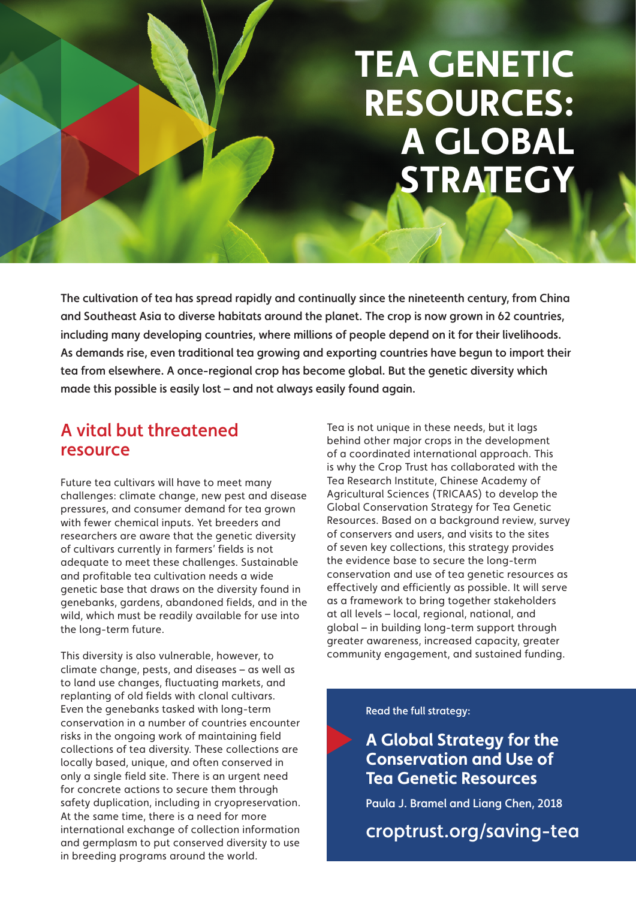# **TEA GENETIC RESOURCES: A GLOBAL STRATEGY**

The cultivation of tea has spread rapidly and continually since the nineteenth century, from China and Southeast Asia to diverse habitats around the planet. The crop is now grown in 62 countries, including many developing countries, where millions of people depend on it for their livelihoods. As demands rise, even traditional tea growing and exporting countries have begun to import their tea from elsewhere. A once-regional crop has become global. But the genetic diversity which made this possible is easily lost – and not always easily found again.

## A vital but threatened resource

Future tea cultivars will have to meet many challenges: climate change, new pest and disease pressures, and consumer demand for tea grown with fewer chemical inputs. Yet breeders and researchers are aware that the genetic diversity of cultivars currently in farmers' fields is not adequate to meet these challenges. Sustainable and profitable tea cultivation needs a wide genetic base that draws on the diversity found in genebanks, gardens, abandoned fields, and in the wild, which must be readily available for use into the long-term future.

This diversity is also vulnerable, however, to climate change, pests, and diseases – as well as to land use changes, fluctuating markets, and replanting of old fields with clonal cultivars. Even the genebanks tasked with long-term conservation in a number of countries encounter risks in the ongoing work of maintaining field collections of tea diversity. These collections are locally based, unique, and often conserved in only a single field site. There is an urgent need for concrete actions to secure them through safety duplication, including in cryopreservation. At the same time, there is a need for more international exchange of collection information and germplasm to put conserved diversity to use in breeding programs around the world.

Tea is not unique in these needs, but it lags behind other major crops in the development of a coordinated international approach. This is why the Crop Trust has collaborated with the Tea Research Institute, Chinese Academy of Agricultural Sciences (TRICAAS) to develop the Global Conservation Strategy for Tea Genetic Resources. Based on a background review, survey of conservers and users, and visits to the sites of seven key collections, this strategy provides the evidence base to secure the long-term conservation and use of tea genetic resources as effectively and efficiently as possible. It will serve as a framework to bring together stakeholders at all levels – local, regional, national, and global – in building long-term support through greater awareness, increased capacity, greater community engagement, and sustained funding.

## Read the full strategy:

**A Global Strategy for the Conservation and Use of Tea Genetic Resources**

Paula J. Bramel and Liang Chen, 2018

croptrust.org/saving-tea